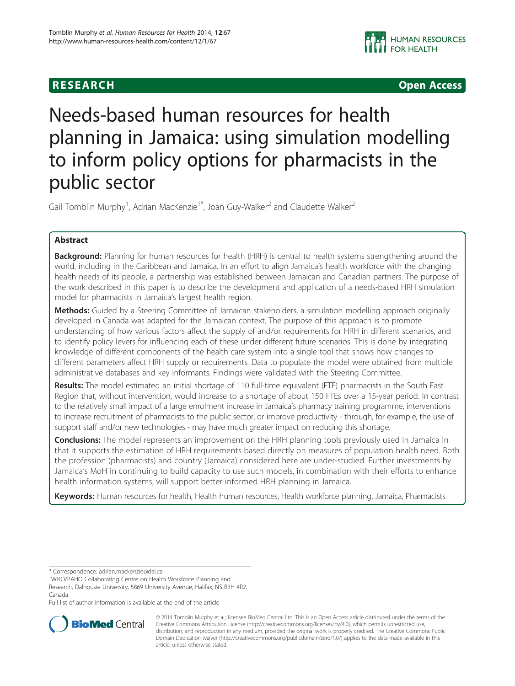**RESEARCH CHINESEARCH CHINESEARCH** 

# Needs-based human resources for health planning in Jamaica: using simulation modelling to inform policy options for pharmacists in the public sector

Gail Tomblin Murphy<sup>1</sup>, Adrian MacKenzie<sup>1\*</sup>, Joan Guy-Walker<sup>2</sup> and Claudette Walker<sup>2</sup>

# Abstract

**Background:** Planning for human resources for health (HRH) is central to health systems strengthening around the world, including in the Caribbean and Jamaica. In an effort to align Jamaica's health workforce with the changing health needs of its people, a partnership was established between Jamaican and Canadian partners. The purpose of the work described in this paper is to describe the development and application of a needs-based HRH simulation model for pharmacists in Jamaica's largest health region.

**Methods:** Guided by a Steering Committee of Jamaican stakeholders, a simulation modelling approach originally developed in Canada was adapted for the Jamaican context. The purpose of this approach is to promote understanding of how various factors affect the supply of and/or requirements for HRH in different scenarios, and to identify policy levers for influencing each of these under different future scenarios. This is done by integrating knowledge of different components of the health care system into a single tool that shows how changes to different parameters affect HRH supply or requirements. Data to populate the model were obtained from multiple administrative databases and key informants. Findings were validated with the Steering Committee.

Results: The model estimated an initial shortage of 110 full-time equivalent (FTE) pharmacists in the South East Region that, without intervention, would increase to a shortage of about 150 FTEs over a 15-year period. In contrast to the relatively small impact of a large enrolment increase in Jamaica's pharmacy training programme, interventions to increase recruitment of pharmacists to the public sector, or improve productivity - through, for example, the use of support staff and/or new technologies - may have much greater impact on reducing this shortage.

**Conclusions:** The model represents an improvement on the HRH planning tools previously used in Jamaica in that it supports the estimation of HRH requirements based directly on measures of population health need. Both the profession (pharmacists) and country (Jamaica) considered here are under-studied. Further investments by Jamaica's MoH in continuing to build capacity to use such models, in combination with their efforts to enhance health information systems, will support better informed HRH planning in Jamaica.

Keywords: Human resources for health, Health human resources, Health workforce planning, Jamaica, Pharmacists

\* Correspondence: [adrian.mackenzie@dal.ca](mailto:adrian.mackenzie@dal.ca) <sup>1</sup>

WHO/PAHO Collaborating Centre on Health Workforce Planning and Research, Dalhousie University, 5869 University Avenue, Halifax, NS B3H 4R2,

Canada

Full list of author information is available at the end of the article



© 2014 Tomblin Murphy et al.; licensee BioMed Central Ltd. This is an Open Access article distributed under the terms of the Creative Commons Attribution License (<http://creativecommons.org/licenses/by/4.0>), which permits unrestricted use, distribution, and reproduction in any medium, provided the original work is properly credited. The Creative Commons Public Domain Dedication waiver [\(http://creativecommons.org/publicdomain/zero/1.0/\)](http://creativecommons.org/publicdomain/zero/1.0/) applies to the data made available in this article, unless otherwise stated.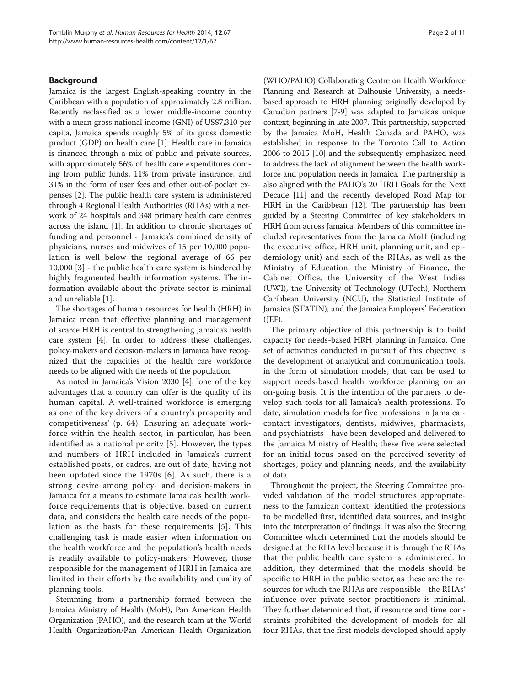# Background

Jamaica is the largest English-speaking country in the Caribbean with a population of approximately 2.8 million. Recently reclassified as a lower middle-income country with a mean gross national income (GNI) of US\$7,310 per capita, Jamaica spends roughly 5% of its gross domestic product (GDP) on health care [\[1](#page-9-0)]. Health care in Jamaica is financed through a mix of public and private sources, with approximately 56% of health care expenditures coming from public funds, 11% from private insurance, and 31% in the form of user fees and other out-of-pocket expenses [[2](#page-9-0)]. The public health care system is administered through 4 Regional Health Authorities (RHAs) with a network of 24 hospitals and 348 primary health care centres across the island [\[1\]](#page-9-0). In addition to chronic shortages of funding and personnel - Jamaica's combined density of physicians, nurses and midwives of 15 per 10,000 population is well below the regional average of 66 per 10,000 [[3](#page-9-0)] - the public health care system is hindered by highly fragmented health information systems. The information available about the private sector is minimal and unreliable [[1\]](#page-9-0).

The shortages of human resources for health (HRH) in Jamaica mean that effective planning and management of scarce HRH is central to strengthening Jamaica's health care system [[4\]](#page-9-0). In order to address these challenges, policy-makers and decision-makers in Jamaica have recognized that the capacities of the health care workforce needs to be aligned with the needs of the population.

As noted in Jamaica's Vision 2030 [\[4\]](#page-9-0), 'one of the key advantages that a country can offer is the quality of its human capital. A well-trained workforce is emerging as one of the key drivers of a country's prosperity and competitiveness' (p. 64). Ensuring an adequate workforce within the health sector, in particular, has been identified as a national priority [[5\]](#page-9-0). However, the types and numbers of HRH included in Jamaica's current established posts, or cadres, are out of date, having not been updated since the 1970s [[6\]](#page-9-0). As such, there is a strong desire among policy- and decision-makers in Jamaica for a means to estimate Jamaica's health workforce requirements that is objective, based on current data, and considers the health care needs of the population as the basis for these requirements [[5\]](#page-9-0). This challenging task is made easier when information on the health workforce and the population's health needs is readily available to policy-makers. However, those responsible for the management of HRH in Jamaica are limited in their efforts by the availability and quality of planning tools.

Stemming from a partnership formed between the Jamaica Ministry of Health (MoH), Pan American Health Organization (PAHO), and the research team at the World Health Organization/Pan American Health Organization

(WHO/PAHO) Collaborating Centre on Health Workforce Planning and Research at Dalhousie University, a needsbased approach to HRH planning originally developed by Canadian partners [[7-9\]](#page-9-0) was adapted to Jamaica's unique context, beginning in late 2007. This partnership, supported by the Jamaica MoH, Health Canada and PAHO, was established in response to the Toronto Call to Action 2006 to 2015 [\[10\]](#page-9-0) and the subsequently emphasized need to address the lack of alignment between the health workforce and population needs in Jamaica. The partnership is also aligned with the PAHO's 20 HRH Goals for the Next Decade [\[11\]](#page-9-0) and the recently developed Road Map for HRH in the Caribbean [[12](#page-9-0)]. The partnership has been guided by a Steering Committee of key stakeholders in HRH from across Jamaica. Members of this committee included representatives from the Jamaica MoH (including the executive office, HRH unit, planning unit, and epidemiology unit) and each of the RHAs, as well as the Ministry of Education, the Ministry of Finance, the Cabinet Office, the University of the West Indies (UWI), the University of Technology (UTech), Northern Caribbean University (NCU), the Statistical Institute of Jamaica (STATIN), and the Jamaica Employers' Federation (JEF).

The primary objective of this partnership is to build capacity for needs-based HRH planning in Jamaica. One set of activities conducted in pursuit of this objective is the development of analytical and communication tools, in the form of simulation models, that can be used to support needs-based health workforce planning on an on-going basis. It is the intention of the partners to develop such tools for all Jamaica's health professions. To date, simulation models for five professions in Jamaica contact investigators, dentists, midwives, pharmacists, and psychiatrists - have been developed and delivered to the Jamaica Ministry of Health; these five were selected for an initial focus based on the perceived severity of shortages, policy and planning needs, and the availability of data.

Throughout the project, the Steering Committee provided validation of the model structure's appropriateness to the Jamaican context, identified the professions to be modelled first, identified data sources, and insight into the interpretation of findings. It was also the Steering Committee which determined that the models should be designed at the RHA level because it is through the RHAs that the public health care system is administered. In addition, they determined that the models should be specific to HRH in the public sector, as these are the resources for which the RHAs are responsible - the RHAs' influence over private sector practitioners is minimal. They further determined that, if resource and time constraints prohibited the development of models for all four RHAs, that the first models developed should apply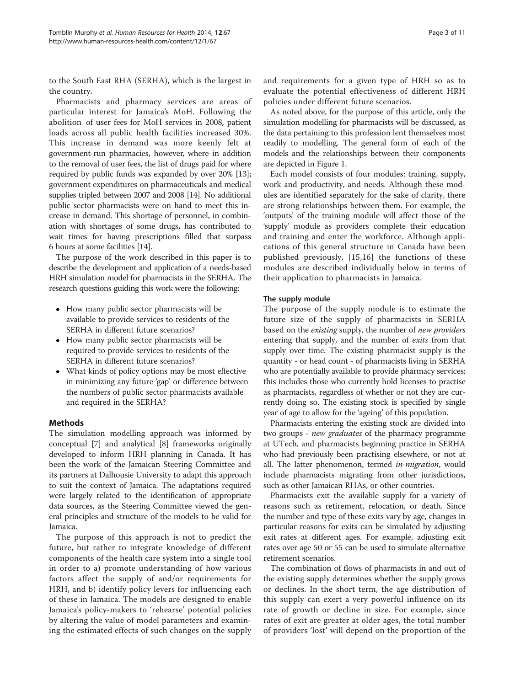to the South East RHA (SERHA), which is the largest in the country.

Pharmacists and pharmacy services are areas of particular interest for Jamaica's MoH. Following the abolition of user fees for MoH services in 2008, patient loads across all public health facilities increased 30%. This increase in demand was more keenly felt at government-run pharmacies, however, where in addition to the removal of user fees, the list of drugs paid for where required by public funds was expanded by over 20% [[13](#page-9-0)]; government expenditures on pharmaceuticals and medical supplies tripled between 2007 and 2008 [\[14\]](#page-9-0). No additional public sector pharmacists were on hand to meet this increase in demand. This shortage of personnel, in combination with shortages of some drugs, has contributed to wait times for having prescriptions filled that surpass 6 hours at some facilities [[14](#page-9-0)].

The purpose of the work described in this paper is to describe the development and application of a needs-based HRH simulation model for pharmacists in the SERHA. The research questions guiding this work were the following:

- How many public sector pharmacists will be available to provide services to residents of the SERHA in different future scenarios?
- How many public sector pharmacists will be required to provide services to residents of the SERHA in different future scenarios?
- What kinds of policy options may be most effective in minimizing any future 'gap' or difference between the numbers of public sector pharmacists available and required in the SERHA?

# Methods

The simulation modelling approach was informed by conceptual [[7\]](#page-9-0) and analytical [\[8](#page-9-0)] frameworks originally developed to inform HRH planning in Canada. It has been the work of the Jamaican Steering Committee and its partners at Dalhousie University to adapt this approach to suit the context of Jamaica. The adaptations required were largely related to the identification of appropriate data sources, as the Steering Committee viewed the general principles and structure of the models to be valid for Jamaica.

The purpose of this approach is not to predict the future, but rather to integrate knowledge of different components of the health care system into a single tool in order to a) promote understanding of how various factors affect the supply of and/or requirements for HRH, and b) identify policy levers for influencing each of these in Jamaica. The models are designed to enable Jamaica's policy-makers to 'rehearse' potential policies by altering the value of model parameters and examining the estimated effects of such changes on the supply and requirements for a given type of HRH so as to evaluate the potential effectiveness of different HRH policies under different future scenarios.

As noted above, for the purpose of this article, only the simulation modelling for pharmacists will be discussed, as the data pertaining to this profession lent themselves most readily to modelling. The general form of each of the models and the relationships between their components are depicted in Figure [1](#page-3-0).

Each model consists of four modules: training, supply, work and productivity, and needs. Although these modules are identified separately for the sake of clarity, there are strong relationships between them. For example, the 'outputs' of the training module will affect those of the 'supply' module as providers complete their education and training and enter the workforce. Although applications of this general structure in Canada have been published previously, [\[15,16](#page-9-0)] the functions of these modules are described individually below in terms of their application to pharmacists in Jamaica.

# The supply module

The purpose of the supply module is to estimate the future size of the supply of pharmacists in SERHA based on the existing supply, the number of new providers entering that supply, and the number of exits from that supply over time. The existing pharmacist supply is the quantity - or head count - of pharmacists living in SERHA who are potentially available to provide pharmacy services; this includes those who currently hold licenses to practise as pharmacists, regardless of whether or not they are currently doing so. The existing stock is specified by single year of age to allow for the 'ageing' of this population.

Pharmacists entering the existing stock are divided into two groups - new graduates of the pharmacy programme at UTech, and pharmacists beginning practice in SERHA who had previously been practising elsewhere, or not at all. The latter phenomenon, termed in-migration, would include pharmacists migrating from other jurisdictions, such as other Jamaican RHAs, or other countries.

Pharmacists exit the available supply for a variety of reasons such as retirement, relocation, or death. Since the number and type of these exits vary by age, changes in particular reasons for exits can be simulated by adjusting exit rates at different ages. For example, adjusting exit rates over age 50 or 55 can be used to simulate alternative retirement scenarios.

The combination of flows of pharmacists in and out of the existing supply determines whether the supply grows or declines. In the short term, the age distribution of this supply can exert a very powerful influence on its rate of growth or decline in size. For example, since rates of exit are greater at older ages, the total number of providers 'lost' will depend on the proportion of the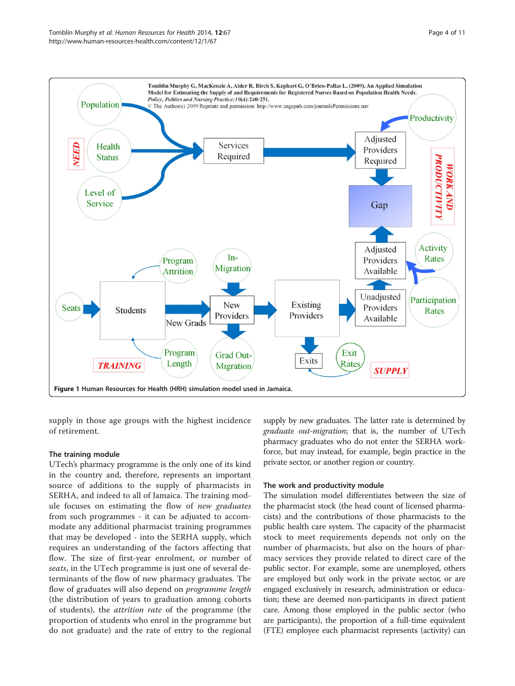<span id="page-3-0"></span>

supply in those age groups with the highest incidence of retirement.

# The training module

UTech's pharmacy programme is the only one of its kind in the country and, therefore, represents an important source of additions to the supply of pharmacists in SERHA, and indeed to all of Jamaica. The training module focuses on estimating the flow of new graduates from such programmes - it can be adjusted to accommodate any additional pharmacist training programmes that may be developed - into the SERHA supply, which requires an understanding of the factors affecting that flow. The size of first-year enrolment, or number of seats, in the UTech programme is just one of several determinants of the flow of new pharmacy graduates. The flow of graduates will also depend on *programme length* (the distribution of years to graduation among cohorts of students), the attrition rate of the programme (the proportion of students who enrol in the programme but do not graduate) and the rate of entry to the regional

supply by new graduates. The latter rate is determined by graduate out-migration; that is, the number of UTech pharmacy graduates who do not enter the SERHA workforce, but may instead, for example, begin practice in the private sector, or another region or country.

# The work and productivity module

The simulation model differentiates between the size of the pharmacist stock (the head count of licensed pharmacists) and the contributions of those pharmacists to the public health care system. The capacity of the pharmacist stock to meet requirements depends not only on the number of pharmacists, but also on the hours of pharmacy services they provide related to direct care of the public sector. For example, some are unemployed, others are employed but only work in the private sector, or are engaged exclusively in research, administration or education; these are deemed non-participants in direct patient care. Among those employed in the public sector (who are participants), the proportion of a full-time equivalent (FTE) employee each pharmacist represents (activity) can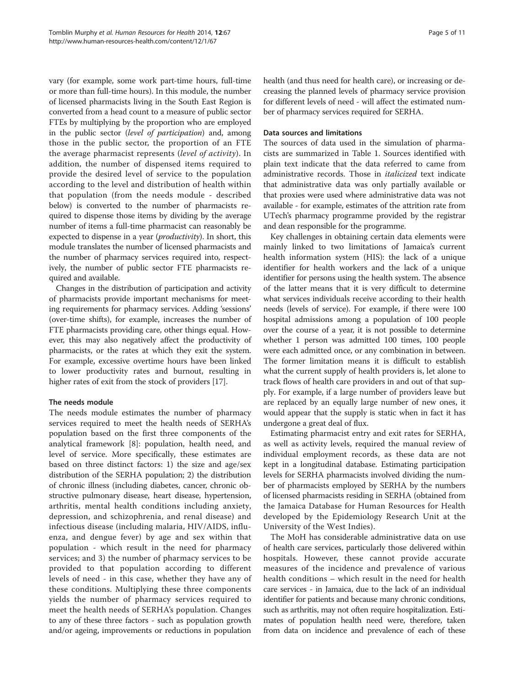vary (for example, some work part-time hours, full-time or more than full-time hours). In this module, the number of licensed pharmacists living in the South East Region is converted from a head count to a measure of public sector FTEs by multiplying by the proportion who are employed in the public sector (level of participation) and, among those in the public sector, the proportion of an FTE the average pharmacist represents (level of activity). In addition, the number of dispensed items required to provide the desired level of service to the population according to the level and distribution of health within that population (from the needs module - described below) is converted to the number of pharmacists required to dispense those items by dividing by the average number of items a full-time pharmacist can reasonably be expected to dispense in a year (*productivity*). In short, this module translates the number of licensed pharmacists and the number of pharmacy services required into, respectively, the number of public sector FTE pharmacists required and available.

Changes in the distribution of participation and activity of pharmacists provide important mechanisms for meeting requirements for pharmacy services. Adding 'sessions' (over-time shifts), for example, increases the number of FTE pharmacists providing care, other things equal. However, this may also negatively affect the productivity of pharmacists, or the rates at which they exit the system. For example, excessive overtime hours have been linked to lower productivity rates and burnout, resulting in higher rates of exit from the stock of providers [\[17](#page-9-0)].

# The needs module

The needs module estimates the number of pharmacy services required to meet the health needs of SERHA's population based on the first three components of the analytical framework [\[8](#page-9-0)]: population, health need, and level of service. More specifically, these estimates are based on three distinct factors: 1) the size and age/sex distribution of the SERHA population; 2) the distribution of chronic illness (including diabetes, cancer, chronic obstructive pulmonary disease, heart disease, hypertension, arthritis, mental health conditions including anxiety, depression, and schizophrenia, and renal disease) and infectious disease (including malaria, HIV/AIDS, influenza, and dengue fever) by age and sex within that population - which result in the need for pharmacy services; and 3) the number of pharmacy services to be provided to that population according to different levels of need - in this case, whether they have any of these conditions. Multiplying these three components yields the number of pharmacy services required to meet the health needs of SERHA's population. Changes to any of these three factors - such as population growth and/or ageing, improvements or reductions in population health (and thus need for health care), or increasing or decreasing the planned levels of pharmacy service provision for different levels of need - will affect the estimated number of pharmacy services required for SERHA.

#### Data sources and limitations

The sources of data used in the simulation of pharmacists are summarized in Table [1.](#page-5-0) Sources identified with plain text indicate that the data referred to came from administrative records. Those in italicized text indicate that administrative data was only partially available or that proxies were used where administrative data was not available - for example, estimates of the attrition rate from UTech's pharmacy programme provided by the registrar and dean responsible for the programme.

Key challenges in obtaining certain data elements were mainly linked to two limitations of Jamaica's current health information system (HIS): the lack of a unique identifier for health workers and the lack of a unique identifier for persons using the health system. The absence of the latter means that it is very difficult to determine what services individuals receive according to their health needs (levels of service). For example, if there were 100 hospital admissions among a population of 100 people over the course of a year, it is not possible to determine whether 1 person was admitted 100 times, 100 people were each admitted once, or any combination in between. The former limitation means it is difficult to establish what the current supply of health providers is, let alone to track flows of health care providers in and out of that supply. For example, if a large number of providers leave but are replaced by an equally large number of new ones, it would appear that the supply is static when in fact it has undergone a great deal of flux.

Estimating pharmacist entry and exit rates for SERHA, as well as activity levels, required the manual review of individual employment records, as these data are not kept in a longitudinal database. Estimating participation levels for SERHA pharmacists involved dividing the number of pharmacists employed by SERHA by the numbers of licensed pharmacists residing in SERHA (obtained from the Jamaica Database for Human Resources for Health developed by the Epidemiology Research Unit at the University of the West Indies).

The MoH has considerable administrative data on use of health care services, particularly those delivered within hospitals. However, these cannot provide accurate measures of the incidence and prevalence of various health conditions – which result in the need for health care services - in Jamaica, due to the lack of an individual identifier for patients and because many chronic conditions, such as arthritis, may not often require hospitalization. Estimates of population health need were, therefore, taken from data on incidence and prevalence of each of these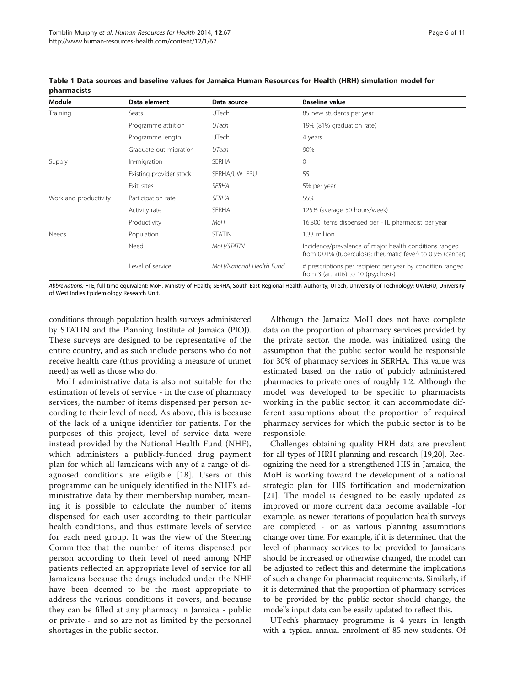| Module                | Data element            | Data source              | <b>Baseline value</b>                                                                                                 |
|-----------------------|-------------------------|--------------------------|-----------------------------------------------------------------------------------------------------------------------|
| Training              | Seats                   | UTech                    | 85 new students per year                                                                                              |
|                       | Programme attrition     | UTech                    | 19% (81% graduation rate)                                                                                             |
|                       | Programme length        | <b>UTech</b>             | 4 years                                                                                                               |
|                       | Graduate out-migration  | UTech                    | 90%                                                                                                                   |
| Supply                | In-migration            | <b>SERHA</b>             | $\Omega$                                                                                                              |
|                       | Existing provider stock | SERHA/UWI ERU            | 55                                                                                                                    |
|                       | Exit rates              | <b>SERHA</b>             | 5% per year                                                                                                           |
| Work and productivity | Participation rate      | <b>SERHA</b>             | 55%                                                                                                                   |
|                       | Activity rate           | <b>SERHA</b>             | 125% (average 50 hours/week)                                                                                          |
|                       | Productivity            | MoH                      | 16,800 items dispensed per FTE pharmacist per year                                                                    |
| Needs                 | Population              | <b>STATIN</b>            | 1.33 million                                                                                                          |
|                       | Need                    | MoH/STATIN               | Incidence/prevalence of major health conditions ranged<br>from 0.01% (tuberculosis; rheumatic fever) to 0.9% (cancer) |
|                       | Level of service        | MoH/National Health Fund | # prescriptions per recipient per year by condition ranged<br>from 3 (arthritis) to 10 (psychosis)                    |

<span id="page-5-0"></span>Table 1 Data sources and baseline values for Jamaica Human Resources for Health (HRH) simulation model for pharmacists

Abbreviations: FTE, full-time equivalent; MoH, Ministry of Health; SERHA, South East Regional Health Authority; UTech, University of Technology; UWIERU, University of West Indies Epidemiology Research Unit.

conditions through population health surveys administered by STATIN and the Planning Institute of Jamaica (PIOJ). These surveys are designed to be representative of the entire country, and as such include persons who do not receive health care (thus providing a measure of unmet need) as well as those who do.

MoH administrative data is also not suitable for the estimation of levels of service - in the case of pharmacy services, the number of items dispensed per person according to their level of need. As above, this is because of the lack of a unique identifier for patients. For the purposes of this project, level of service data were instead provided by the National Health Fund (NHF), which administers a publicly-funded drug payment plan for which all Jamaicans with any of a range of diagnosed conditions are eligible [[18](#page-9-0)]. Users of this programme can be uniquely identified in the NHF's administrative data by their membership number, meaning it is possible to calculate the number of items dispensed for each user according to their particular health conditions, and thus estimate levels of service for each need group. It was the view of the Steering Committee that the number of items dispensed per person according to their level of need among NHF patients reflected an appropriate level of service for all Jamaicans because the drugs included under the NHF have been deemed to be the most appropriate to address the various conditions it covers, and because they can be filled at any pharmacy in Jamaica - public or private - and so are not as limited by the personnel shortages in the public sector.

Although the Jamaica MoH does not have complete data on the proportion of pharmacy services provided by the private sector, the model was initialized using the assumption that the public sector would be responsible for 30% of pharmacy services in SERHA. This value was estimated based on the ratio of publicly administered pharmacies to private ones of roughly 1:2. Although the model was developed to be specific to pharmacists working in the public sector, it can accommodate different assumptions about the proportion of required pharmacy services for which the public sector is to be responsible.

Challenges obtaining quality HRH data are prevalent for all types of HRH planning and research [[19,20\]](#page-9-0). Recognizing the need for a strengthened HIS in Jamaica, the MoH is working toward the development of a national strategic plan for HIS fortification and modernization [[21](#page-9-0)]. The model is designed to be easily updated as improved or more current data become available -for example, as newer iterations of population health surveys are completed - or as various planning assumptions change over time. For example, if it is determined that the level of pharmacy services to be provided to Jamaicans should be increased or otherwise changed, the model can be adjusted to reflect this and determine the implications of such a change for pharmacist requirements. Similarly, if it is determined that the proportion of pharmacy services to be provided by the public sector should change, the model's input data can be easily updated to reflect this.

UTech's pharmacy programme is 4 years in length with a typical annual enrolment of 85 new students. Of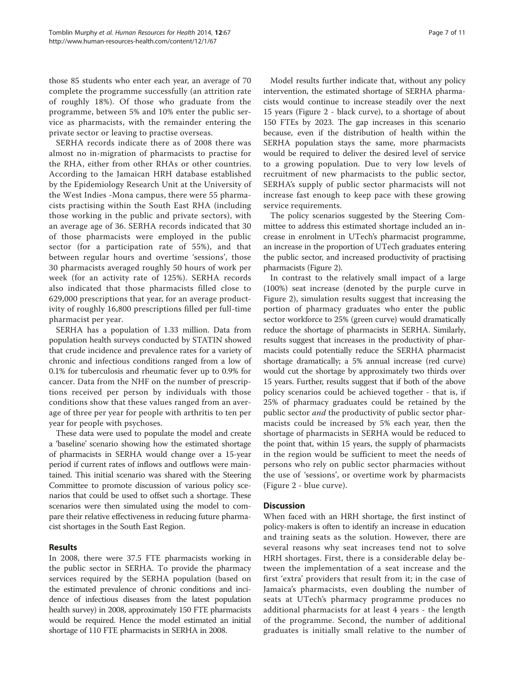those 85 students who enter each year, an average of 70 complete the programme successfully (an attrition rate of roughly 18%). Of those who graduate from the programme, between 5% and 10% enter the public service as pharmacists, with the remainder entering the private sector or leaving to practise overseas.

SERHA records indicate there as of 2008 there was almost no in-migration of pharmacists to practise for the RHA, either from other RHAs or other countries. According to the Jamaican HRH database established by the Epidemiology Research Unit at the University of the West Indies -Mona campus, there were 55 pharmacists practising within the South East RHA (including those working in the public and private sectors), with an average age of 36. SERHA records indicated that 30 of those pharmacists were employed in the public sector (for a participation rate of 55%), and that between regular hours and overtime 'sessions', those 30 pharmacists averaged roughly 50 hours of work per week (for an activity rate of 125%). SERHA records also indicated that those pharmacists filled close to 629,000 prescriptions that year, for an average productivity of roughly 16,800 prescriptions filled per full-time pharmacist per year.

SERHA has a population of 1.33 million. Data from population health surveys conducted by STATIN showed that crude incidence and prevalence rates for a variety of chronic and infectious conditions ranged from a low of 0.1% for tuberculosis and rheumatic fever up to 0.9% for cancer. Data from the NHF on the number of prescriptions received per person by individuals with those conditions show that these values ranged from an average of three per year for people with arthritis to ten per year for people with psychoses.

These data were used to populate the model and create a 'baseline' scenario showing how the estimated shortage of pharmacists in SERHA would change over a 15-year period if current rates of inflows and outflows were maintained. This initial scenario was shared with the Steering Committee to promote discussion of various policy scenarios that could be used to offset such a shortage. These scenarios were then simulated using the model to compare their relative effectiveness in reducing future pharmacist shortages in the South East Region.

# Results

In 2008, there were 37.5 FTE pharmacists working in the public sector in SERHA. To provide the pharmacy services required by the SERHA population (based on the estimated prevalence of chronic conditions and incidence of infectious diseases from the latest population health survey) in 2008, approximately 150 FTE pharmacists would be required. Hence the model estimated an initial shortage of 110 FTE pharmacists in SERHA in 2008.

Model results further indicate that, without any policy intervention, the estimated shortage of SERHA pharmacists would continue to increase steadily over the next 15 years (Figure [2](#page-7-0) - black curve), to a shortage of about 150 FTEs by 2023. The gap increases in this scenario because, even if the distribution of health within the SERHA population stays the same, more pharmacists would be required to deliver the desired level of service to a growing population. Due to very low levels of recruitment of new pharmacists to the public sector, SERHA's supply of public sector pharmacists will not increase fast enough to keep pace with these growing service requirements.

The policy scenarios suggested by the Steering Committee to address this estimated shortage included an increase in enrolment in UTech's pharmacist programme, an increase in the proportion of UTech graduates entering the public sector, and increased productivity of practising pharmacists (Figure [2](#page-7-0)).

In contrast to the relatively small impact of a large (100%) seat increase (denoted by the purple curve in Figure [2](#page-7-0)), simulation results suggest that increasing the portion of pharmacy graduates who enter the public sector workforce to 25% (green curve) would dramatically reduce the shortage of pharmacists in SERHA. Similarly, results suggest that increases in the productivity of pharmacists could potentially reduce the SERHA pharmacist shortage dramatically; a 5% annual increase (red curve) would cut the shortage by approximately two thirds over 15 years. Further, results suggest that if both of the above policy scenarios could be achieved together - that is, if 25% of pharmacy graduates could be retained by the public sector *and* the productivity of public sector pharmacists could be increased by 5% each year, then the shortage of pharmacists in SERHA would be reduced to the point that, within 15 years, the supply of pharmacists in the region would be sufficient to meet the needs of persons who rely on public sector pharmacies without the use of 'sessions', or overtime work by pharmacists (Figure [2](#page-7-0) - blue curve).

# **Discussion**

When faced with an HRH shortage, the first instinct of policy-makers is often to identify an increase in education and training seats as the solution. However, there are several reasons why seat increases tend not to solve HRH shortages. First, there is a considerable delay between the implementation of a seat increase and the first 'extra' providers that result from it; in the case of Jamaica's pharmacists, even doubling the number of seats at UTech's pharmacy programme produces no additional pharmacists for at least 4 years - the length of the programme. Second, the number of additional graduates is initially small relative to the number of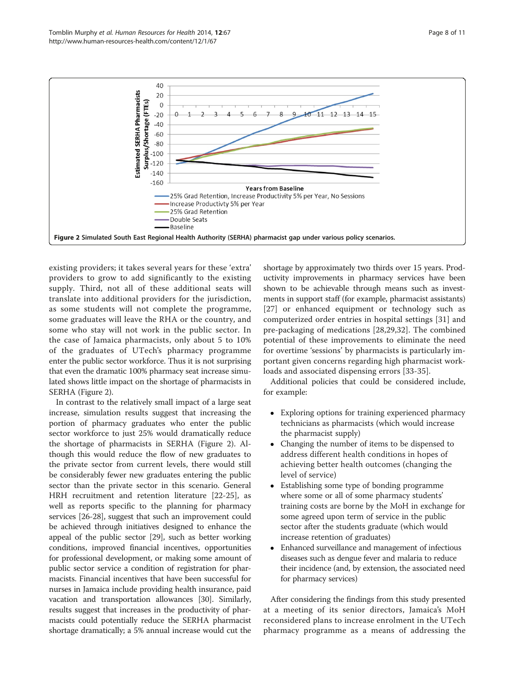<span id="page-7-0"></span>

existing providers; it takes several years for these 'extra' providers to grow to add significantly to the existing supply. Third, not all of these additional seats will translate into additional providers for the jurisdiction, as some students will not complete the programme, some graduates will leave the RHA or the country, and some who stay will not work in the public sector. In the case of Jamaica pharmacists, only about 5 to 10% of the graduates of UTech's pharmacy programme enter the public sector workforce. Thus it is not surprising that even the dramatic 100% pharmacy seat increase simulated shows little impact on the shortage of pharmacists in SERHA (Figure 2).

In contrast to the relatively small impact of a large seat increase, simulation results suggest that increasing the portion of pharmacy graduates who enter the public sector workforce to just 25% would dramatically reduce the shortage of pharmacists in SERHA (Figure 2). Although this would reduce the flow of new graduates to the private sector from current levels, there would still be considerably fewer new graduates entering the public sector than the private sector in this scenario. General HRH recruitment and retention literature [[22-25](#page-9-0)], as well as reports specific to the planning for pharmacy services [\[26-28\]](#page-9-0), suggest that such an improvement could be achieved through initiatives designed to enhance the appeal of the public sector [\[29\]](#page-9-0), such as better working conditions, improved financial incentives, opportunities for professional development, or making some amount of public sector service a condition of registration for pharmacists. Financial incentives that have been successful for nurses in Jamaica include providing health insurance, paid vacation and transportation allowances [\[30](#page-9-0)]. Similarly, results suggest that increases in the productivity of pharmacists could potentially reduce the SERHA pharmacist shortage dramatically; a 5% annual increase would cut the

shortage by approximately two thirds over 15 years. Productivity improvements in pharmacy services have been shown to be achievable through means such as investments in support staff (for example, pharmacist assistants) [[27\]](#page-9-0) or enhanced equipment or technology such as computerized order entries in hospital settings [[31\]](#page-9-0) and pre-packaging of medications [[28,29,32](#page-9-0)]. The combined potential of these improvements to eliminate the need for overtime 'sessions' by pharmacists is particularly important given concerns regarding high pharmacist workloads and associated dispensing errors [[33](#page-9-0)-[35\]](#page-10-0).

Additional policies that could be considered include, for example:

- Exploring options for training experienced pharmacy technicians as pharmacists (which would increase the pharmacist supply)
- Changing the number of items to be dispensed to address different health conditions in hopes of achieving better health outcomes (changing the level of service)
- Establishing some type of bonding programme where some or all of some pharmacy students' training costs are borne by the MoH in exchange for some agreed upon term of service in the public sector after the students graduate (which would increase retention of graduates)
- Enhanced surveillance and management of infectious diseases such as dengue fever and malaria to reduce their incidence (and, by extension, the associated need for pharmacy services)

After considering the findings from this study presented at a meeting of its senior directors, Jamaica's MoH reconsidered plans to increase enrolment in the UTech pharmacy programme as a means of addressing the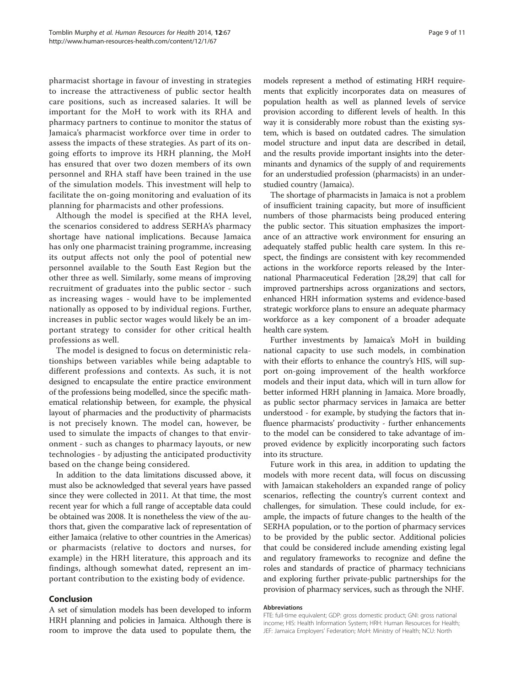pharmacist shortage in favour of investing in strategies to increase the attractiveness of public sector health care positions, such as increased salaries. It will be important for the MoH to work with its RHA and pharmacy partners to continue to monitor the status of Jamaica's pharmacist workforce over time in order to assess the impacts of these strategies. As part of its ongoing efforts to improve its HRH planning, the MoH has ensured that over two dozen members of its own personnel and RHA staff have been trained in the use of the simulation models. This investment will help to facilitate the on-going monitoring and evaluation of its planning for pharmacists and other professions.

Although the model is specified at the RHA level, the scenarios considered to address SERHA's pharmacy shortage have national implications. Because Jamaica has only one pharmacist training programme, increasing its output affects not only the pool of potential new personnel available to the South East Region but the other three as well. Similarly, some means of improving recruitment of graduates into the public sector - such as increasing wages - would have to be implemented nationally as opposed to by individual regions. Further, increases in public sector wages would likely be an important strategy to consider for other critical health professions as well.

The model is designed to focus on deterministic relationships between variables while being adaptable to different professions and contexts. As such, it is not designed to encapsulate the entire practice environment of the professions being modelled, since the specific mathematical relationship between, for example, the physical layout of pharmacies and the productivity of pharmacists is not precisely known. The model can, however, be used to simulate the impacts of changes to that environment - such as changes to pharmacy layouts, or new technologies - by adjusting the anticipated productivity based on the change being considered.

In addition to the data limitations discussed above, it must also be acknowledged that several years have passed since they were collected in 2011. At that time, the most recent year for which a full range of acceptable data could be obtained was 2008. It is nonetheless the view of the authors that, given the comparative lack of representation of either Jamaica (relative to other countries in the Americas) or pharmacists (relative to doctors and nurses, for example) in the HRH literature, this approach and its findings, although somewhat dated, represent an important contribution to the existing body of evidence.

# Conclusion

A set of simulation models has been developed to inform HRH planning and policies in Jamaica. Although there is room to improve the data used to populate them, the models represent a method of estimating HRH requirements that explicitly incorporates data on measures of population health as well as planned levels of service provision according to different levels of health. In this way it is considerably more robust than the existing system, which is based on outdated cadres. The simulation model structure and input data are described in detail, and the results provide important insights into the determinants and dynamics of the supply of and requirements for an understudied profession (pharmacists) in an understudied country (Jamaica).

The shortage of pharmacists in Jamaica is not a problem of insufficient training capacity, but more of insufficient numbers of those pharmacists being produced entering the public sector. This situation emphasizes the importance of an attractive work environment for ensuring an adequately staffed public health care system. In this respect, the findings are consistent with key recommended actions in the workforce reports released by the International Pharmaceutical Federation [[28,29](#page-9-0)] that call for improved partnerships across organizations and sectors, enhanced HRH information systems and evidence-based strategic workforce plans to ensure an adequate pharmacy workforce as a key component of a broader adequate health care system.

Further investments by Jamaica's MoH in building national capacity to use such models, in combination with their efforts to enhance the country's HIS, will support on-going improvement of the health workforce models and their input data, which will in turn allow for better informed HRH planning in Jamaica. More broadly, as public sector pharmacy services in Jamaica are better understood - for example, by studying the factors that influence pharmacists' productivity - further enhancements to the model can be considered to take advantage of improved evidence by explicitly incorporating such factors into its structure.

Future work in this area, in addition to updating the models with more recent data, will focus on discussing with Jamaican stakeholders an expanded range of policy scenarios, reflecting the country's current context and challenges, for simulation. These could include, for example, the impacts of future changes to the health of the SERHA population, or to the portion of pharmacy services to be provided by the public sector. Additional policies that could be considered include amending existing legal and regulatory frameworks to recognize and define the roles and standards of practice of pharmacy technicians and exploring further private-public partnerships for the provision of pharmacy services, such as through the NHF.

#### Abbreviations

FTE: full-time equivalent; GDP: gross domestic product; GNI: gross national income; HIS: Health Information System; HRH: Human Resources for Health; JEF: Jamaica Employers' Federation; MoH: Ministry of Health; NCU: North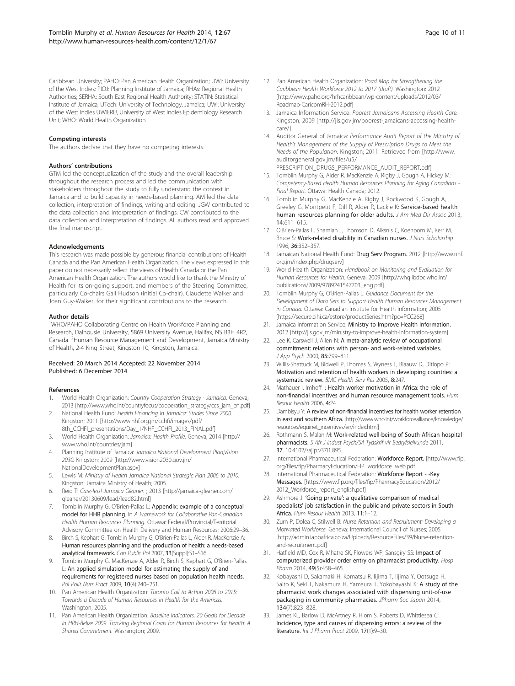<span id="page-9-0"></span>Caribbean University; PAHO: Pan American Health Organization; UWI: University of the West Indies; PIOJ: Planning Institute of Jamaica; RHAs: Regional Health Authorities; SERHA: South East Regional Health Authority; STATIN: Statistical Institute of Jamaica; UTech: University of Technology, Jamaica; UWI: University of the West Indies UWIERU, University of West Indies Epidemiology Research Unit; WHO: World Health Organization.

#### Competing interests

The authors declare that they have no competing interests.

#### Authors' contributions

GTM led the conceptualization of the study and the overall leadership throughout the research process and led the communication with stakeholders throughout the study to fully understand the context in Jamaica and to build capacity in needs-based planning. AM led the data collection, interpretation of findings, writing and editing. JGW contributed to the data collection and interpretation of findings. CW contributed to the data collection and interpretation of findings. All authors read and approved the final manuscript.

#### Acknowledgements

This research was made possible by generous financial contributions of Health Canada and the Pan American Health Organization. The views expressed in this paper do not necessarily reflect the views of Health Canada or the Pan American Health Organization. The authors would like to thank the Ministry of Health for its on-going support, and members of the Steering Committee, particularly Co-chairs Gail Hudson (initial Co-chair), Claudette Walker and Joan Guy-Walker, for their significant contributions to the research.

#### Author details

<sup>1</sup>WHO/PAHO Collaborating Centre on Health Workforce Planning and Research, Dalhousie University, 5869 University Avenue, Halifax, NS B3H 4R2, Canada. <sup>2</sup>Human Resource Management and Development, Jamaica Ministry of Health, 2-4 King Street, Kingston 10, Kingston, Jamaica.

#### Received: 20 March 2014 Accepted: 22 November 2014 Published: 6 December 2014

#### References

- World Health Organization: Country Cooperation Strategy Jamaica. Geneva; 2013 [[http://www.who.int/countryfocus/cooperation\\_strategy/ccs\\_jam\\_en.pdf\]](http://www.who.int/countryfocus/cooperation_strategy/ccs_jam_en.pdf)
- 2. National Health Fund: Health Financing in Jamaica: Strides Since 2000. Kingston; 2011 [[http://www.nhf.org.jm/cchfi/images/pdf/](http://www.nhf.org.jm/cchfi/images/pdf/8th_CCHFI_presentations/Day_1/NHF_CCHFI_2013_FINAL.pdf) [8th\\_CCHFI\\_presentations/Day\\_1/NHF\\_CCHFI\\_2013\\_FINAL.pdf\]](http://www.nhf.org.jm/cchfi/images/pdf/8th_CCHFI_presentations/Day_1/NHF_CCHFI_2013_FINAL.pdf)
- 3. World Health Organization: Jamaica: Health Profile. Geneva; 2014 [[http://](http://www.who.int/countries/jam) [www.who.int/countries/jam\]](http://www.who.int/countries/jam)
- Planning Institute of Jamaica: Jamaica National Development Plan, Vision 2030. Kingston; 2009 [\[http://www.vision2030.gov.jm/](http://www.vision2030.gov.jm/NationalDevelopmentPlan.aspx) [NationalDevelopmentPlan.aspx](http://www.vision2030.gov.jm/NationalDevelopmentPlan.aspx)]
- 5. Lewis M: Ministry of Health Jamaica National Strategic Plan 2006 to 2010. Kingston: Jamaica Ministry of Health; 2005.
- 6. Reid T: Care-less! Jamaica Gleaner. ; 2013 [\[http://jamaica-gleaner.com/](http://jamaica-gleaner.com/gleaner/20130609/lead/lead82.html) [gleaner/20130609/lead/lead82.html\]](http://jamaica-gleaner.com/gleaner/20130609/lead/lead82.html)
- 7. Tomblin Murphy G, O'Brien-Pallas L: Appendix: example of a conceptual model for HHR planning. In A Framework for Collaborative Pan-Canadian Health Human Resources Planning. Ottawa: Federal/Provincial/Territorial Advisory Committee on Health Delivery and Human Resources; 2006:29–36.
- 8. Birch S, Kephart G, Tomblin Murphy G, O'Brien-Pallas L, Alder R, MacKenzie A: Human resources planning and the production of health: a needs-based analytical framework. Can Public Pol 2007, 33(Suppl):S1–S16.
- 9. Tomblin Murphy G, MacKenzie A, Alder R, Birch S, Kephart G, O'Brien-Pallas L: An applied simulation model for estimating the supply of and requirements for registered nurses based on population health needs. Pol Polit Nurs Pract 2009, 10(4):240–251.
- 10. Pan American Health Organization: Toronto Call to Action 2006 to 2015: Towards a Decade of Human Resources in Health for the Americas. Washington; 2005
- 11. Pan American Health Organization: Baseline Indicators, 20 Goals for Decade in HRH-Belize 2009. Tracking Regional Goals for Human Resources for Health: A Shared Commitment. Washington; 2009.
- 12. Pan American Health Organization: Road Map for Strengthening the Caribbean Health Workforce 2012 to 2017 (draft). Washington: 2012 [[http://www.paho.org/hrhcaribbean/wp-content/uploads/2012/03/](http://www.paho.org/hrhcaribbean/wp-content/uploads/2012/03/Roadmap-CaricomRH-2012.pdf) [Roadmap-CaricomRH-2012.pdf\]](http://www.paho.org/hrhcaribbean/wp-content/uploads/2012/03/Roadmap-CaricomRH-2012.pdf)
- 13. Jamaica Information Service: Poorest Jamaicans Accessing Health Care. Kingston; 2009 [\[http://jis.gov.jm/poorest-jamaicans-accessing-health](http://jis.gov.jm/poorest-jamaicans-accessing-health-care/)[care/\]](http://jis.gov.jm/poorest-jamaicans-accessing-health-care/)
- 14. Auditor General of Jamaica: Performance Audit Report of the Ministry of Health's Management of the Supply of Prescription Drugs to Meet the Needs of the Population. Kingston; 2011. Retrieved from [[http://www.](http://www.auditorgeneral.gov.jm/files/u5/PRESCRIPTION_DRUGS_PERFORMANCE_AUDIT_REPORT.pdf) [auditorgeneral.gov.jm/files/u5/](http://www.auditorgeneral.gov.jm/files/u5/PRESCRIPTION_DRUGS_PERFORMANCE_AUDIT_REPORT.pdf) [PRESCRIPTION\\_DRUGS\\_PERFORMANCE\\_AUDIT\\_REPORT.pdf](http://www.auditorgeneral.gov.jm/files/u5/PRESCRIPTION_DRUGS_PERFORMANCE_AUDIT_REPORT.pdf)l

15. Tomblin Murphy G, Alder R, MacKenzie A, Rigby J, Gough A, Hickey M:

- Competency-Based Health Human Resources Planning for Aging Canadians Final Report. Ottawa: Health Canada; 2012. 16. Tomblin Murphy G, MacKenzie A, Rigby J, Rockwood K, Gough A,
- Greeley G, Montpetit F, Dill R, Alder R, Lackie K: Service-based health human resources planning for older adults. J Am Med Dir Assoc 2013, 14:611–615.
- 17. O'Brien-Pallas L, Shamian J, Thomson D, Alksnis C, Koehoorn M, Kerr M, Bruce S: Work-related disability in Canadian nurses. J Nurs Scholarship 1996, 36:352–357.
- 18. Jamaican National Health Fund: Drug Serv Program. 2012 [[http://www.nhf.](http://www.nhf.org.jm/index.php/drugserv) [org.jm/index.php/drugserv\]](http://www.nhf.org.jm/index.php/drugserv)
- 19. World Health Organization: Handbook on Monitoring and Evaluation for Human Resources for Health. Geneva; 2009 [\[http://whqlibdoc.who.int/](http://whqlibdoc.who.int/publications/2009/9789241547703_eng.pdf) [publications/2009/9789241547703\\_eng.pdf](http://whqlibdoc.who.int/publications/2009/9789241547703_eng.pdf)]
- 20. Tomblin Murphy G, O'Brien-Pallas L: Guidance Document for the Development of Data Sets to Support Health Human Resources Management in Canada. Ottawa: Canadian Institute for Health Information; 2005 [[https://secure.cihi.ca/estore/productSeries.htm?pc=PCC268\]](https://secure.cihi.ca/estore/productSeries.htm?pc=PCC268)
- 21. Jamaica Information Service: Ministry to Improve Health Information. 2012 [\[http://jis.gov.jm/ministry-to-improve-health-information-system\]](http://jis.gov.jm/ministry-to-improve-health-information-system)
- 22. Lee K, Carswell J, Allen N: A meta-analytic review of occupational commitment: relations with person- and work-related variables. J App Psych 2000, 85:799-811.
- 23. Willis-Shattuck M, Bidwell P, Thomas S, Wyness L, Blaauw D, Ditlopo P: Motivation and retention of health workers in developing countries: a systematic review. BMC Health Serv Res 2005, 8:247.
- 24. Mathauer I, Imhoff I: Health worker motivation in Africa: the role of non-financial incentives and human resource management tools. Hum Resour Health 2006, 4:24.
- 25. Dambisyu Y: A review of non-financial incentives for health worker retention in east and southern Africa. [\[http://www.who.int/workforcealliance/knowledge/](http://www.who.int/workforcealliance/knowledge/resources/equinet_incentives/en/index.html) [resources/equinet\\_incentives/en/index.html\]](http://www.who.int/workforcealliance/knowledge/resources/equinet_incentives/en/index.html)
- 26. Rothmann S, Malan M: Work-related well-being of South African hospital pharmacists. S Afr J Indust Psych/SA Tydskrif vir Bedryfsielkunde 2011, 37. 10.4102/sajip.v37i1.895.
- 27. International Pharmaceutical Federation: Workforce Report. [[http://www.fip.](http://www.fip.org/files/fip/PharmacyEducation/FIP_workforce_web.pdf) [org/files/fip/PharmacyEducation/FIP\\_workforce\\_web.pdf](http://www.fip.org/files/fip/PharmacyEducation/FIP_workforce_web.pdf)]
- 28. International Pharmaceutical Federation: Workforce Report - Key Messages. [[https://www.fip.org/files/fip/PharmacyEducation/2012/](https://www.fip.org/files/fip/PharmacyEducation/2012/2012_Workforce_report_english.pdf) [2012\\_Workforce\\_report\\_english.pdf](https://www.fip.org/files/fip/PharmacyEducation/2012/2012_Workforce_report_english.pdf)]
- 29. Ashmore J: 'Going private': a qualitative comparison of medical specialists' job satisfaction in the public and private sectors in South Africa. Hum Resour Health 2013, 11:1–12.
- 30. Zurn P, Dolea C, Stilwell B: Nurse Retention and Recruitment: Developing a Motivated Workforce. Geneva: International Council of Nurses; 2005 [[http://admin.iapbafrica.co.za/Uploads/ResourceFiles/39/Nurse-retention](http://admin.iapbafrica.co.za/Uploads/ResourceFiles/39/Nurse-retention-and-recruitment.pdf)[and-recruitment.pdf\]](http://admin.iapbafrica.co.za/Uploads/ResourceFiles/39/Nurse-retention-and-recruitment.pdf)
- 31. Hatfield MD, Cox R, Mhatre SK, Flowers WP, Sansgiry SS: Impact of computerized provider order entry on pharmacist productivity. Hosp Pharm 2014, 49(5):458-465.
- 32. Kobayashi D, Sakamaki H, Komatsu R, Iijima T, Iijima Y, Ootsuga H, Saito K, Seki T, Nakamura H, Yamaura T, Yokobayashi K: A study of the pharmacist work changes associated with dispensing unit-of-use packaging in community pharmacies. JPharm Soc Japan 2014, 134(7):823–828.
- 33. James KL, Barlow D, McArtney R, Hiom S, Roberts D, Whittlesea C: Incidence, type and causes of dispensing errors: a review of the literature. Int J Pharm Pract 2009, 17(1):9–30.